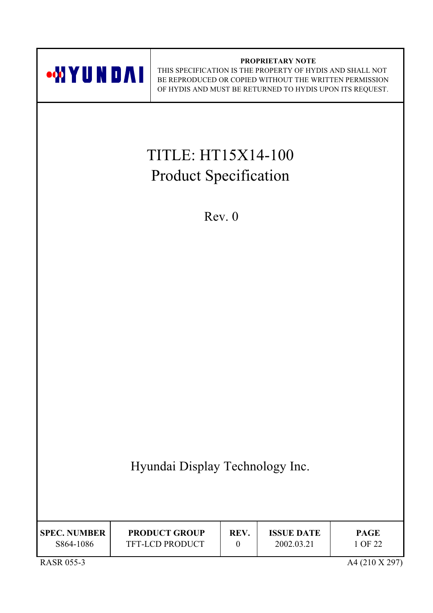

| <b>SPEC. NUMBER</b>                        | <b>PRODUCT GROUP</b>   | REV. | <b>ISSUE DATE</b> | <b>PAGE</b>                                                                                 |
|--------------------------------------------|------------------------|------|-------------------|---------------------------------------------------------------------------------------------|
| S864-1086                                  | <b>TFT-LCD PRODUCT</b> |      | 2002.03.21        | 1 OF 22                                                                                     |
| $P$ $\Lambda$ $CD$ $\Lambda$ $F$ $\Lambda$ |                        |      |                   | $\lambda$ $\lambda$ $($ $\lambda$ 1 $\lambda$ $\lambda$ $\tau$ $\lambda$ $\lambda$ $\sigma$ |

PROPRIETARY NOTE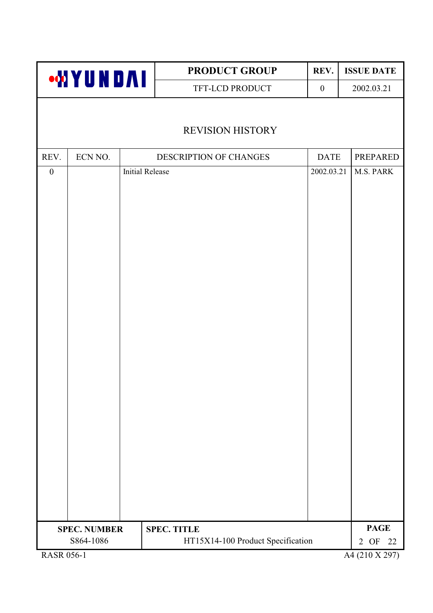| <b>WYUNDAI</b>    |                     |                        | <b>PRODUCT GROUP</b>              | <b>ISSUE DATE</b> |                |
|-------------------|---------------------|------------------------|-----------------------------------|-------------------|----------------|
|                   |                     |                        | TFT-LCD PRODUCT                   | $\boldsymbol{0}$  | 2002.03.21     |
|                   |                     |                        |                                   |                   |                |
|                   |                     |                        | <b>REVISION HISTORY</b>           |                   |                |
| REV.              | ECN NO.             |                        | DESCRIPTION OF CHANGES            | <b>DATE</b>       | PREPARED       |
| $\boldsymbol{0}$  |                     | <b>Initial Release</b> |                                   | 2002.03.21        | M.S. PARK      |
|                   |                     |                        |                                   |                   |                |
|                   |                     |                        |                                   |                   |                |
|                   |                     |                        |                                   |                   |                |
|                   |                     |                        |                                   |                   |                |
|                   |                     |                        |                                   |                   |                |
|                   |                     |                        |                                   |                   |                |
|                   |                     |                        |                                   |                   |                |
|                   |                     |                        |                                   |                   |                |
|                   |                     |                        |                                   |                   |                |
|                   |                     |                        |                                   |                   |                |
|                   |                     |                        |                                   |                   |                |
|                   |                     |                        |                                   |                   |                |
|                   |                     |                        |                                   |                   |                |
|                   |                     |                        |                                   |                   |                |
|                   |                     |                        |                                   |                   |                |
|                   |                     |                        |                                   |                   |                |
|                   |                     |                        |                                   |                   |                |
|                   |                     |                        |                                   |                   |                |
|                   |                     |                        |                                   |                   |                |
|                   |                     |                        |                                   |                   |                |
|                   | <b>SPEC. NUMBER</b> |                        | <b>SPEC. TITLE</b>                |                   | <b>PAGE</b>    |
|                   | S864-1086           |                        | HT15X14-100 Product Specification |                   | 2 OF<br>22     |
| <b>RASR 056-1</b> |                     |                        |                                   |                   | A4 (210 X 297) |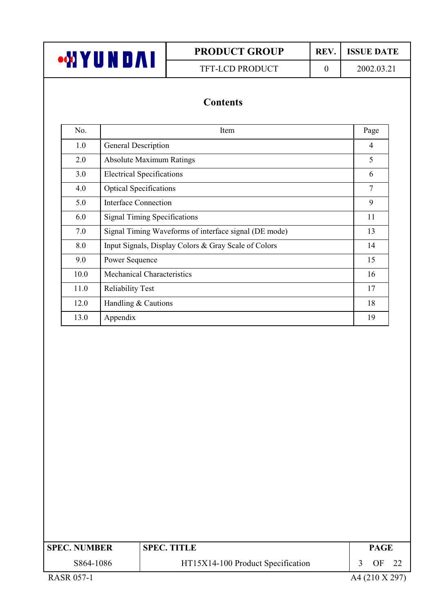| <b>MIYUNDAI</b> |  |
|-----------------|--|
|-----------------|--|

TFT-LCD PRODUCT

REV. **ISSUE DATE** 2002.03.21

 $\mathbf{0}$ 

## **Contents**

| No.  | Item                                                  | Page           |
|------|-------------------------------------------------------|----------------|
| 1.0  | General Description                                   | $\overline{4}$ |
| 2.0  | <b>Absolute Maximum Ratings</b>                       | 5              |
| 3.0  | <b>Electrical Specifications</b>                      | 6              |
| 4.0  | <b>Optical Specifications</b>                         | 7              |
| 5.0  | Interface Connection                                  | 9              |
| 6.0  | <b>Signal Timing Specifications</b>                   | 11             |
| 7.0  | Signal Timing Waveforms of interface signal (DE mode) | 13             |
| 8.0  | Input Signals, Display Colors & Gray Scale of Colors  | 14             |
| 9.0  | Power Sequence                                        | 15             |
| 10.0 | <b>Mechanical Characteristics</b>                     | 16             |
| 11.0 | <b>Reliability Test</b>                               | 17             |
| 12.0 | Handling & Cautions                                   | 18             |
| 13.0 | Appendix                                              | 19             |

| <b>SPEC. NUMBER</b> | <b>SPEC. TITLE</b>                |  |         |  |  |  | <b>PAGE</b> |  |
|---------------------|-----------------------------------|--|---------|--|--|--|-------------|--|
| S864-1086           | HT15X14-100 Product Specification |  | OF      |  |  |  |             |  |
| _ _ _ _ _ _         |                                   |  | . _ _ . |  |  |  |             |  |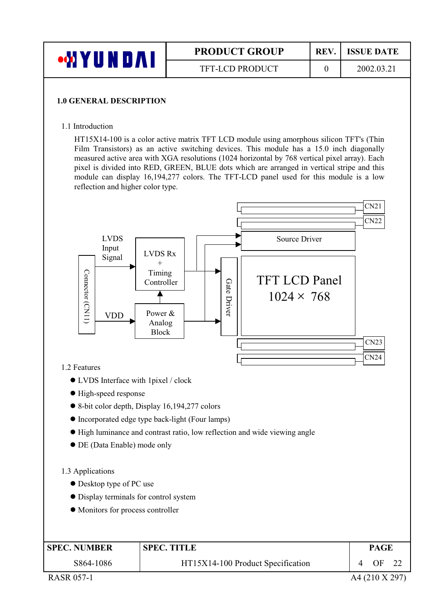| YUNDAI | <b>PRODUCT GROUP</b>   | REV. | <b>ISSUE DATE</b> |
|--------|------------------------|------|-------------------|
|        | <b>TFT-LCD PRODUCT</b> |      | 2002.03.21        |

#### **1.0 GENERAL DESCRIPTION**

1.1 Introduction

HT15X14-100 is a color active matrix TFT LCD module using amorphous silicon TFT's (Thin Film Transistors) as an active switching devices. This module has a 15.0 inch diagonally measured active area with XGA resolutions (1024 horizontal by 768 vertical pixel array). Each pixel is divided into RED, GREEN, BLUE dots which are arranged in vertical stripe and this module can display 16,194,277 colors. The TFT-LCD panel used for this module is a low reflection and higher color type.



- Incorporated edge type back-light (Four lamps)
- High luminance and contrast ratio, low reflection and wide viewing angle
- DE (Data Enable) mode only

#### 1.3 Applications

- Desktop type of PC use
- Display terminals for control system
- Monitors for process controller

| <b>SPEC. NUMBER</b> | <b>SPEC. TITLE</b>                | PAGE |  |
|---------------------|-----------------------------------|------|--|
| S864-1086           | HT15X14-100 Product Specification | ΩF   |  |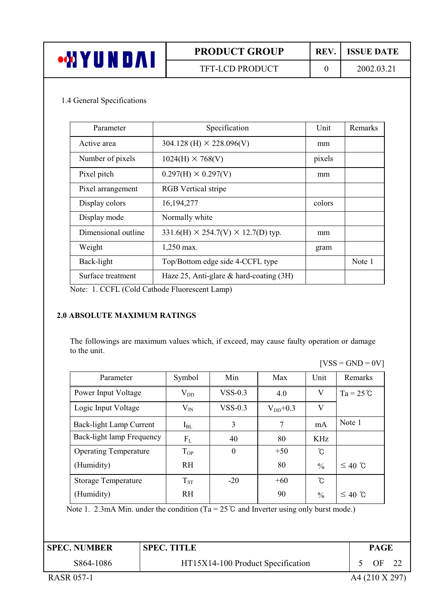| 75 N<br>/UNDA! | <b>PRODUCT GROUP</b>   | REV. | <b>ISSUE DATE</b> |
|----------------|------------------------|------|-------------------|
|                | <b>TFT-LCD PRODUCT</b> |      | 2002.03.21        |

#### 1.4 General Specifications

| Parameter           | Specification                                       | <b>Unit</b> | Remarks |
|---------------------|-----------------------------------------------------|-------------|---------|
| Active area         | $304.128$ (H) $\times$ 228.096(V)                   | mm          |         |
| Number of pixels    | $1024(H) \times 768(V)$                             | pixels      |         |
| Pixel pitch         | $0.297(H) \times 0.297(V)$                          | mm          |         |
| Pixel arrangement   | <b>RGB</b> Vertical stripe                          |             |         |
| Display colors      | 16, 194, 277                                        | colors      |         |
| Display mode        | Normally white                                      |             |         |
| Dimensional outline | $331.6$ (H) $\times$ 254.7(V) $\times$ 12.7(D) typ. | mm          |         |
| Weight              | 1,250 max.                                          | gram        |         |
| Back-light          | Top/Bottom edge side 4-CCFL type                    |             | Note 1  |
| Surface treatment   | Haze 25, Anti-glare $\&$ hard-coating (3H)          |             |         |

Note: 1. CCFL (Cold Cathode Fluorescent Lamp)

#### **2.0 ABSOLUTE MAXIMUM RATINGS**

The followings are maximum values which, if exceed, may cause faulty operation or damage to the unit.

 $[VSS = GND = 0V]$ 

| Parameter                    | Symbol       | Min       | Max           | Unit          | Remarks            |
|------------------------------|--------------|-----------|---------------|---------------|--------------------|
| Power Input Voltage          | $\rm V_{DD}$ | $VSS-0.3$ | 4.0           | V             | $Ta = 25^{\circ}C$ |
| Logic Input Voltage          | $V_{IN}$     | $VSS-0.3$ | $V_{DD}$ +0.3 | V             |                    |
| Back-light Lamp Current      | $I_{BL}$     | 3         | 7             | mA            | Note 1             |
| Back-light lamp Frequency    | $F_{L}$      | 40        | 80            | KHz.          |                    |
| <b>Operating Temperature</b> | $T_{OP}$     | $\theta$  | $+50$         | ົໂ            |                    |
| (Humidity)                   | <b>RH</b>    |           | 80            | $\frac{0}{0}$ | $≤ 40$ °C          |
| <b>Storage Temperature</b>   | $T_{ST}$     | $-20$     | $+60$         | °C            |                    |
| (Humidity)                   | RH           |           | 90            | $\frac{0}{0}$ | $≤ 40$ °C          |

HT15X14-100 Product Specification

Note 1. 2.3mA Min. under the condition ( $Ta = 25^\circ C$  and Inverter using only burst mode.)

**SPEC. NUMBER** 

**SPEC. TITLE** 

**PAGE** 5 OF 22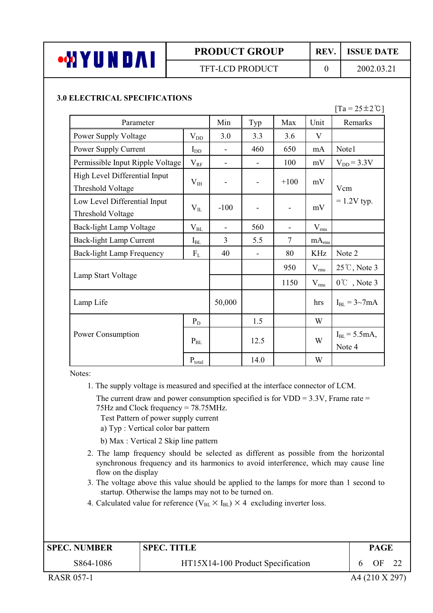

### **TFT-LCD PRODUCT**

REV.

 $\overline{0}$ 

2002.03.21

**ISSUE DATE** 

#### **3.0 ELECTRICAL SPECIFICATIONS**

#### $[Ta = 25 \pm 2^{\circ}C]$

| Parameter                                          |              | Min                      | Typ                      | Max    | Unit              | Remarks                     |
|----------------------------------------------------|--------------|--------------------------|--------------------------|--------|-------------------|-----------------------------|
| Power Supply Voltage                               | $\rm V_{DD}$ | 3.0                      | 3.3                      | 3.6    | V                 |                             |
| Power Supply Current                               | $I_{DD}$     |                          | 460                      | 650    | mA                | Note1                       |
| Permissible Input Ripple Voltage                   | $V_{RF}$     | $\overline{\phantom{a}}$ | $\overline{\phantom{a}}$ | 100    | mV                | $V_{DD}$ = 3.3V             |
| High Level Differential Input<br>Threshold Voltage | $V_{IH}$     |                          | $\overline{\phantom{a}}$ | $+100$ | mV                | Vcm                         |
| Low Level Differential Input<br>Threshold Voltage  | $V_{IL}$     | $-100$                   | $\overline{\phantom{0}}$ |        | mV                | $= 1.2V$ typ.               |
| Back-light Lamp Voltage                            | $\rm V_{BL}$ |                          | 560                      |        | $V_{rms}$         |                             |
| Back-light Lamp Current                            | $I_{BL}$     | $\overline{3}$           | 5.5                      | $\tau$ | mA <sub>rms</sub> |                             |
| <b>Back-light Lamp Frequency</b>                   | $F_{L}$      | 40                       | $\overline{\phantom{a}}$ | 80     | <b>KHz</b>        | Note 2                      |
|                                                    |              |                          |                          | 950    | $V_{rms}$         | $25^{\circ}$ C, Note 3      |
| Lamp Start Voltage                                 |              |                          |                          | 1150   | $V_{rms}$         | $0^{\circ}$ , Note 3        |
| Lamp Life                                          |              | 50,000                   |                          |        | hrs               | $I_{BL} = 3{\sim}7mA$       |
|                                                    | $P_D$        |                          | 1.5                      |        | W                 |                             |
| Power Consumption                                  | $P_{BL}$     |                          | 12.5                     |        | W                 | $I_{BL} = 5.5mA,$<br>Note 4 |
|                                                    | $P_{total}$  |                          | 14.0                     |        | W                 |                             |

Notes:

1. The supply voltage is measured and specified at the interface connector of LCM.

The current draw and power consumption specified is for  $VDD = 3.3V$ , Frame rate = 75Hz and Clock frequency = 78.75MHz.

- Test Pattern of power supply current
- a) Typ: Vertical color bar pattern
- b) Max : Vertical 2 Skip line pattern
- 2. The lamp frequency should be selected as different as possible from the horizontal synchronous frequency and its harmonics to avoid interference, which may cause line flow on the display
- 3. The voltage above this value should be applied to the lamps for more than 1 second to startup. Otherwise the lamps may not to be turned on.
- 4. Calculated value for reference ( $V_{BL} \times I_{BL}$ ) × 4 excluding inverter loss.

| <b>SPEC. NUMBER</b> |                                   |  | <b>SPEC. TITLE</b> |  | <b>PAGE</b> |  |
|---------------------|-----------------------------------|--|--------------------|--|-------------|--|
| S864-1086           | HT15X14-100 Product Specification |  | OΕ                 |  |             |  |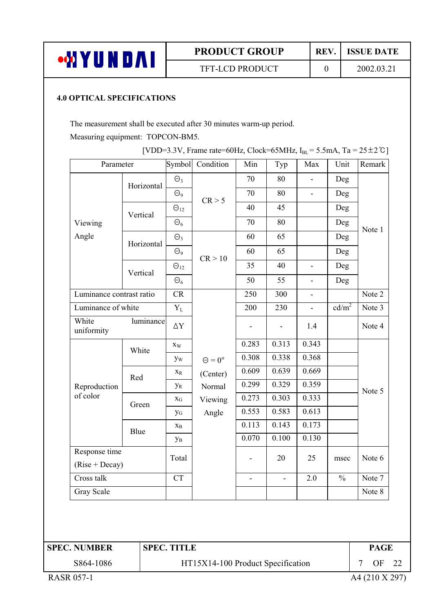

TFT-LCD PRODUCT

 $\overline{0}$ 

The measurement shall be executed after 30 minutes warm-up period. Measuring equipment: TOPCON-BM5.

| [VDD=3.3V, Frame rate=60Hz, Clock=65MHz, $I_{BL}$ = 5.5mA, Ta = 25 ± 2°C] |  |  |
|---------------------------------------------------------------------------|--|--|

| Parameter                |                    | Symbol                  | Condition            | Min   | Typ                      | Max                      | Unit              | Remark |
|--------------------------|--------------------|-------------------------|----------------------|-------|--------------------------|--------------------------|-------------------|--------|
|                          | Horizontal         | $\Theta_3$              |                      | 70    | 80                       | $\overline{\phantom{a}}$ | Deg               |        |
|                          |                    | $\Theta$ <sup>9</sup>   | CR > 5               | 70    | 80                       | $\overline{\phantom{a}}$ | Deg               |        |
|                          | Vertical           | $\Theta_{12}$           |                      | 40    | 45                       |                          | Deg               |        |
| Viewing                  |                    | $\Theta_6$              |                      | 70    | 80                       |                          | Deg               | Note 1 |
| Angle                    | Horizontal         | $\Theta_3$              |                      | 60    | 65                       |                          | Deg               |        |
|                          |                    | $\Theta$ <sup>9</sup>   | CR > 10              | 60    | 65                       |                          | Deg               |        |
|                          | Vertical           | $\Theta_{12}$           |                      | 35    | 40                       | ÷,                       | Deg               |        |
|                          |                    | $\Theta_6$              |                      | 50    | 55                       | $\blacksquare$           | Deg               |        |
| Luminance contrast ratio |                    | CR                      |                      | 250   | 300                      | $\blacksquare$           |                   | Note 2 |
|                          | Luminance of white |                         |                      | 200   | 230                      | $\blacksquare$           | cd/m <sup>2</sup> | Note 3 |
| White<br>uniformity      | luminance          | $\Delta \rm{Y}$         |                      |       |                          | 1.4                      |                   | Note 4 |
|                          | White              | $\mathbf{x}_\mathrm{W}$ |                      | 0.283 | 0.313                    | 0.343                    |                   |        |
|                          |                    | yw                      | $\Theta = 0^{\circ}$ | 0.308 | 0.338                    | 0.368                    |                   |        |
|                          | Red                | $\mathbf{X}_\text{R}$   | (Center)             | 0.609 | 0.639                    | 0.669                    |                   |        |
| Reproduction             |                    | $y_R$                   | Normal               | 0.299 | 0.329                    | 0.359                    |                   | Note 5 |
| of color                 | Green              | $X_G$                   | Viewing              | 0.273 | 0.303                    | 0.333                    |                   |        |
|                          |                    | $y_G$                   | Angle                | 0.553 | 0.583                    | 0.613                    |                   |        |
|                          | Blue               | $X_B$                   |                      | 0.113 | 0.143                    | 0.173                    |                   |        |
|                          |                    | $y_B$                   |                      | 0.070 | 0.100                    | 0.130                    |                   |        |
| Response time            |                    | Total                   |                      |       | 20                       | 25                       | msec              | Note 6 |
| $(Rise + Decay)$         |                    |                         |                      |       |                          |                          |                   |        |
| Cross talk               |                    | <b>CT</b>               |                      | ÷,    | $\overline{\phantom{a}}$ | 2.0                      | $\frac{0}{0}$     | Note 7 |
| Gray Scale               |                    |                         |                      |       |                          |                          |                   | Note 8 |

| <b>SPEC. NUMBER</b> | <b>SPEC. TITLE</b>                | <b>PAGE</b>      |  |
|---------------------|-----------------------------------|------------------|--|
| S864-1086           | HT15X14-100 Product Specification | OF <sub>22</sub> |  |
| <b>RASR 057-1</b>   |                                   | A4 (210 X 297)   |  |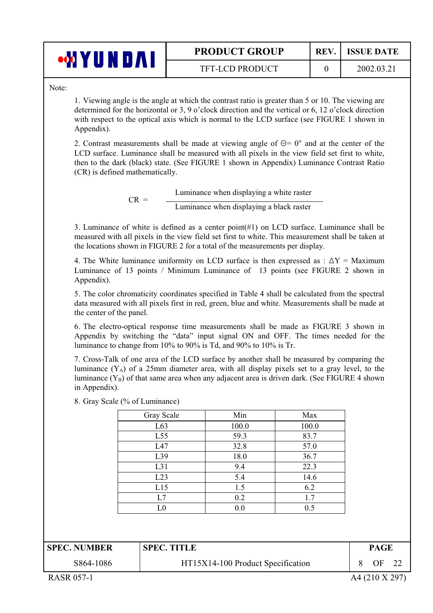| <b>PRODUCT GROUP</b> |
|----------------------|
|                      |

 $\overline{0}$ 

Note:

**WYUNDAI** 

1. Viewing angle is the angle at which the contrast ratio is greater than 5 or 10. The viewing are determined for the horizontal or 3, 9 o'clock direction and the vertical or 6, 12 o'clock direction with respect to the optical axis which is normal to the LCD surface (see FIGURE 1 shown in Appendix).

2. Contrast measurements shall be made at viewing angle of  $\Theta = 0^{\circ}$  and at the center of the LCD surface. Luminance shall be measured with all pixels in the view field set first to white, then to the dark (black) state. (See FIGURE 1 shown in Appendix) Luminance Contrast Ratio (CR) is defined mathematically.

> Luminance when displaying a white raster  $CR =$ Luminance when displaying a black raster

3. Luminance of white is defined as a center point  $(\#1)$  on LCD surface. Luminance shall be measured with all pixels in the view field set first to white. This measurement shall be taken at the locations shown in FIGURE 2 for a total of the measurements per display.

4. The White luminance uniformity on LCD surface is then expressed as :  $\Delta Y =$  Maximum Luminance of 13 points / Minimum Luminance of 13 points (see FIGURE 2 shown in Appendix).

5. The color chromaticity coordinates specified in Table 4 shall be calculated from the spectral data measured with all pixels first in red, green, blue and white. Measurements shall be made at the center of the panel.

6. The electro-optical response time measurements shall be made as FIGURE 3 shown in Appendix by switching the "data" input signal ON and OFF. The times needed for the luminance to change from 10% to 90% is Td, and 90% to 10% is Tr.

7. Cross-Talk of one area of the LCD surface by another shall be measured by comparing the luminance  $(Y_A)$  of a 25mm diameter area, with all display pixels set to a gray level, to the luminance  $(Y_B)$  of that same area when any adjacent area is driven dark. (See FIGURE 4 shown in Appendix).

|  |  |  |  |  | 8. Gray Scale (% of Luminance) |
|--|--|--|--|--|--------------------------------|
|--|--|--|--|--|--------------------------------|

| Gray Scale | Min   | Max   |
|------------|-------|-------|
| L63        | 100.0 | 100.0 |
| L55        | 59.3  | 83.7  |
| L47        | 32.8  | 57.0  |
| L39        | 18.0  | 36.7  |
| L31        | 9.4   | 22.3  |
| L23        | 5.4   | 14.6  |
| L15        | 1.5   | 6.2   |
| L7         | 0.2   | 1.7   |
| L0         | 0.0   | 0.5   |

| <b>SPEC. NUMBER</b> | <b>SPEC. TITLE</b>                | PAGE |  |
|---------------------|-----------------------------------|------|--|
| S864-1086           | HT15X14-100 Product Specification | ЭF   |  |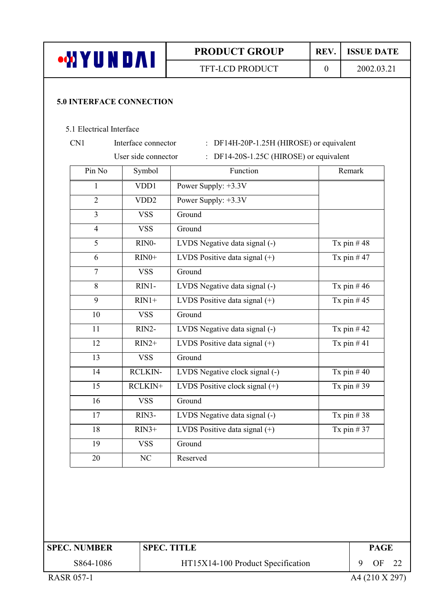|                          |                                 | <b>PRODUCT GROUP</b>                     | REV.           | <b>ISSUE DATE</b> |
|--------------------------|---------------------------------|------------------------------------------|----------------|-------------------|
| <b>WYUNDAI</b>           |                                 | <b>TFT-LCD PRODUCT</b>                   | $\overline{0}$ | 2002.03.21        |
|                          | <b>5.0 INTERFACE CONNECTION</b> |                                          |                |                   |
| 5.1 Electrical Interface |                                 |                                          |                |                   |
| CN1                      | Interface connector             | : DF14H-20P-1.25H (HIROSE) or equivalent |                |                   |
|                          | User side connector             | : DF14-20S-1.25C (HIROSE) or equivalent  |                |                   |
| Pin No                   | Symbol                          | Function                                 |                | Remark            |
| 1                        | VDD1                            | Power Supply: +3.3V                      |                |                   |
| $\overline{2}$           | VDD <sub>2</sub>                | Power Supply: +3.3V                      |                |                   |
| 3                        | <b>VSS</b>                      | Ground                                   |                |                   |
| $\overline{4}$           | <b>VSS</b>                      | Ground                                   |                |                   |
| 5                        | RINO-                           | LVDS Negative data signal (-)            |                | Tx pin $#48$      |
| 6                        | $RIN0+$                         | LVDS Positive data signal $(+)$          |                | Tx pin $#47$      |
| $\overline{7}$           | <b>VSS</b>                      | Ground                                   |                |                   |
| 8                        | RIN1-                           | LVDS Negative data signal (-)            |                | Tx pin $#46$      |
| 9                        | $RIN1+$                         | LVDS Positive data signal (+)            |                | Tx pin $#45$      |
| 10                       | <b>VSS</b>                      | Ground                                   |                |                   |
| 11                       | $RIN2-$                         | LVDS Negative data signal (-)            |                | Tx pin $#42$      |
| 12                       | $RIN2+$                         | LVDS Positive data signal $(+)$          |                | Tx pin $#41$      |
| 13                       | <b>VSS</b>                      | Ground                                   |                |                   |
| 14                       | <b>RCLKIN-</b>                  | LVDS Negative clock signal (-)           |                | Tx pin $#40$      |
| 15                       | RCLKIN+                         | LVDS Positive clock signal $(+)$         |                | Tx pin $#39$      |
| 16                       | <b>VSS</b>                      | Ground                                   |                |                   |
| 17                       | RIN3-                           | LVDS Negative data signal (-)            |                | Tx pin $#38$      |
| 18                       | $RIN3+$                         | LVDS Positive data signal $(+)$          |                | Tx pin $#37$      |
| 19                       | <b>VSS</b>                      | Ground                                   |                |                   |
| 20                       | $\rm NC$                        | Reserved                                 |                |                   |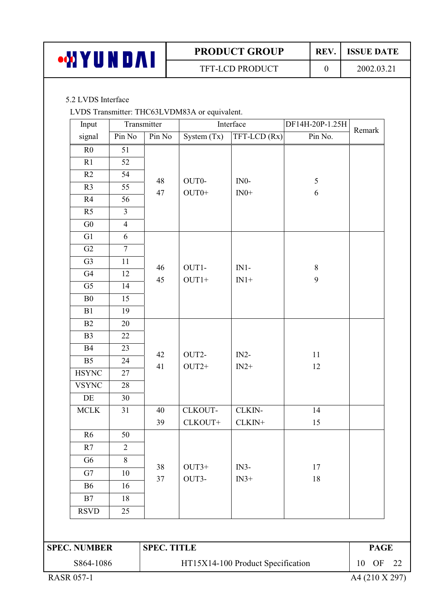| <b>MY</b><br>UNDAI | <b>PRODUCT GROUP</b>   | <b>REV</b> | <b>ISSUE DATE</b> |
|--------------------|------------------------|------------|-------------------|
|                    | <b>TFT-LCD PRODUCT</b> |            | 2002.03.21        |

#### 5.2 LVDS Interface

LVDS Transmitter: THC63LVDM83A or equivalent.

| Input               |                | Transmitter        | Interface        |                                   | DF14H-20P-1.25H          |             |
|---------------------|----------------|--------------------|------------------|-----------------------------------|--------------------------|-------------|
| signal              | Pin No         | Pin No             | System $(Tx)$    | TFT-LCD (Rx)                      | Pin No.                  | Remark      |
| R <sub>0</sub>      | 51             |                    |                  |                                   |                          |             |
| R1                  | 52             |                    |                  |                                   |                          |             |
| R2                  | 54             |                    |                  |                                   |                          |             |
| R <sub>3</sub>      | 55             | 48<br>47           | OUT0-<br>$OUT0+$ | $IN0-$<br>$IN0+$                  | $\sqrt{5}$<br>$\sqrt{6}$ |             |
| R4                  | 56             |                    |                  |                                   |                          |             |
| R <sub>5</sub>      | $\overline{3}$ |                    |                  |                                   |                          |             |
| G <sub>0</sub>      | $\overline{4}$ |                    |                  |                                   |                          |             |
| G1                  | 6              |                    |                  |                                   |                          |             |
| G2                  | $\overline{7}$ |                    |                  |                                   |                          |             |
| G <sub>3</sub>      | 11             | 46                 | OUT1-            | $IN1-$                            |                          |             |
| G4                  | 12             | 45                 | $OUT1+$          | $IN1+$                            | $\,8\,$<br>9             |             |
| G <sub>5</sub>      | 14             |                    |                  |                                   |                          |             |
| B <sub>0</sub>      | 15             |                    |                  |                                   |                          |             |
| B1                  | 19             |                    |                  |                                   |                          |             |
| B2                  | 20             |                    |                  |                                   |                          |             |
| B <sub>3</sub>      | 22             |                    |                  |                                   |                          |             |
| <b>B4</b>           | 23             | 42                 | OUT2-            | $IN2-$                            | 11                       |             |
| B <sub>5</sub>      | 24             | 41                 | $OUT2+$          | $IN2+$                            | 12                       |             |
| <b>HSYNC</b>        | 27             |                    |                  |                                   |                          |             |
| <b>VSYNC</b>        | 28             |                    |                  |                                   |                          |             |
| DE                  | 30             |                    |                  |                                   |                          |             |
| $\sf MCLK$          | 31             | 40                 | <b>CLKOUT-</b>   | CLKIN-                            | 14                       |             |
|                     |                | 39                 | CLKOUT+          | $CLKIN+$                          | 15                       |             |
| R6                  | 50             |                    |                  |                                   |                          |             |
| R7                  | $\sqrt{2}$     |                    |                  |                                   |                          |             |
| G <sub>6</sub>      | 8              | 38                 | $OUT3+$          | $IN3-$                            | 17                       |             |
| G7                  | 10             | 37                 | OUT3-            | $IN3+$                            | 18                       |             |
| B <sub>6</sub>      | 16             |                    |                  |                                   |                          |             |
| B7                  | 18             |                    |                  |                                   |                          |             |
| <b>RSVD</b>         | 25             |                    |                  |                                   |                          |             |
|                     |                |                    |                  |                                   |                          |             |
| <b>SPEC. NUMBER</b> |                | <b>SPEC. TITLE</b> |                  |                                   |                          | <b>PAGE</b> |
| S864-1086           |                |                    |                  | HT15X14-100 Product Specification |                          | 10 OF 22    |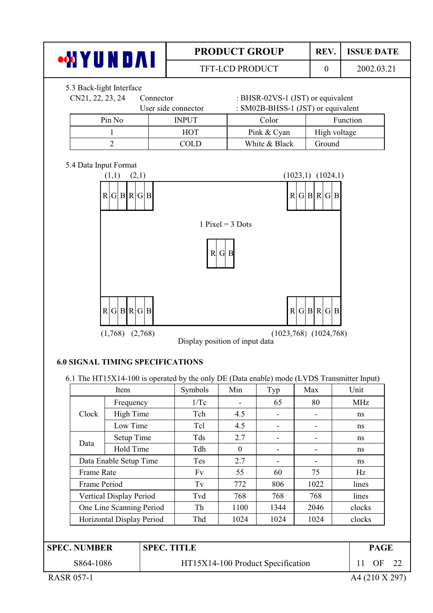|                                                                                                                                                                                                                                                                                                                                                                                              |                                              |           |                     | <b>PRODUCT GROUP</b> |                                                                         | REV.                     | <b>ISSUE DATE</b> |
|----------------------------------------------------------------------------------------------------------------------------------------------------------------------------------------------------------------------------------------------------------------------------------------------------------------------------------------------------------------------------------------------|----------------------------------------------|-----------|---------------------|----------------------|-------------------------------------------------------------------------|--------------------------|-------------------|
|                                                                                                                                                                                                                                                                                                                                                                                              | <b>WAYUNDAI</b>                              |           |                     | TFT-LCD PRODUCT      |                                                                         | $\boldsymbol{0}$         | 2002.03.21        |
|                                                                                                                                                                                                                                                                                                                                                                                              | 5.3 Back-light Interface<br>CN21, 22, 23, 24 | Connector | User side connector |                      | : BHSR-02VS-1 (JST) or equivalent<br>: SM02B-BHSS-1 (JST) or equivalent |                          |                   |
|                                                                                                                                                                                                                                                                                                                                                                                              | Pin No                                       |           | <b>INPUT</b>        |                      | Color                                                                   |                          | Function          |
|                                                                                                                                                                                                                                                                                                                                                                                              | 1                                            |           | <b>HOT</b>          |                      | Pink & Cyan                                                             |                          | High voltage      |
|                                                                                                                                                                                                                                                                                                                                                                                              | $\overline{2}$                               |           | <b>COLD</b>         |                      | White & Black                                                           | Ground                   |                   |
| 5.4 Data Input Format<br>(1,1)<br>(2,1)<br>$(1023,1)$ $(1024,1)$<br>R G B R G B<br>R G B R G B<br>1 Pixel = $3$ Dots<br>$R$ G B<br>R G B R G B<br>R G B R G B<br>$(1,768)$ $(2,768)$<br>$(1023,768)$ $(1024,768)$<br>Display position of input data<br><b>6.0 SIGNAL TIMING SPECIFICATIONS</b><br>6.1 The HT15X14-100 is operated by the only DE (Data enable) mode (LVDS Transmitter Input) |                                              |           |                     |                      |                                                                         |                          |                   |
|                                                                                                                                                                                                                                                                                                                                                                                              |                                              |           |                     |                      |                                                                         |                          |                   |
|                                                                                                                                                                                                                                                                                                                                                                                              | Item                                         |           | Symbols             | Min                  | Typ                                                                     | Max                      | Unit              |
|                                                                                                                                                                                                                                                                                                                                                                                              | Frequency                                    |           | 1/Tc                | ÷,                   | 65                                                                      | 80                       | <b>MHz</b>        |
| Clock                                                                                                                                                                                                                                                                                                                                                                                        | <b>High Time</b>                             |           | Tch                 | 4.5                  |                                                                         |                          | ns                |
|                                                                                                                                                                                                                                                                                                                                                                                              | Low Time                                     |           | Tcl                 | 4.5                  | $\overline{\phantom{m}}$                                                |                          | ns                |
| Data                                                                                                                                                                                                                                                                                                                                                                                         | Setup Time                                   |           | Tds                 | 2.7                  | $\overline{\phantom{m}}$                                                | $\overline{\phantom{a}}$ | ns                |
|                                                                                                                                                                                                                                                                                                                                                                                              | Hold Time                                    |           | Tdh                 | $\boldsymbol{0}$     |                                                                         |                          | ns                |
|                                                                                                                                                                                                                                                                                                                                                                                              | Data Enable Setup Time                       |           | Tes                 | 2.7                  |                                                                         |                          | ns                |
|                                                                                                                                                                                                                                                                                                                                                                                              | Frame Rate                                   |           | Fv                  | 55                   | 60                                                                      | 75                       | Hz                |
|                                                                                                                                                                                                                                                                                                                                                                                              | Frame Period                                 |           | Tv                  | 772                  | 806                                                                     | 1022                     | lines             |
|                                                                                                                                                                                                                                                                                                                                                                                              | Vertical Display Period                      |           | Tvd                 | 768                  | 768                                                                     | 768                      | lines             |
|                                                                                                                                                                                                                                                                                                                                                                                              | One Line Scanning Period                     |           | Th                  | 1100                 | 1344                                                                    | 2046                     | clocks            |
|                                                                                                                                                                                                                                                                                                                                                                                              | Horizontal Display Period                    |           | Thd                 | 1024                 | 1024                                                                    | 1024                     | clocks            |
|                                                                                                                                                                                                                                                                                                                                                                                              |                                              |           |                     |                      |                                                                         |                          |                   |
| <b>SPEC. NUMBER</b>                                                                                                                                                                                                                                                                                                                                                                          |                                              |           | <b>SPEC. TITLE</b>  |                      |                                                                         |                          | <b>PAGE</b>       |
|                                                                                                                                                                                                                                                                                                                                                                                              | S864-1086                                    |           |                     |                      | HT15X14-100 Product Specification                                       |                          | OF<br>22<br>11    |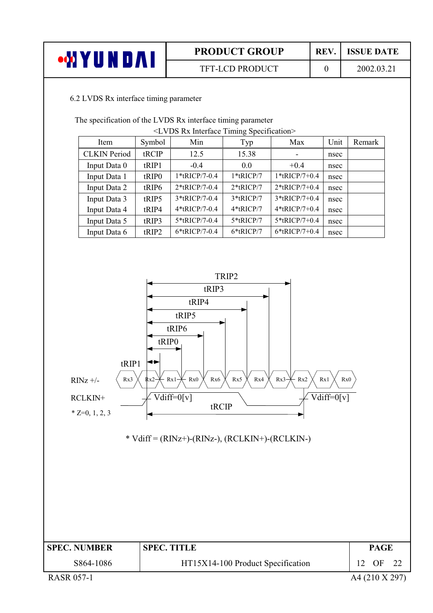| <b>TFT-LCD PRODUCT</b><br>2002.03.2 | OΛ,<br>u n i | <b>PRODUCT GROUP</b> | <b>REV</b> | <b>ISSUE DATE</b> |
|-------------------------------------|--------------|----------------------|------------|-------------------|
|                                     |              |                      |            |                   |

#### 6.2 LVDS Rx interface timing parameter

The specification of the LVDS Rx interface timing parameter

| <lvds interface="" rx="" specification="" timing=""></lvds> |                   |                  |              |                  |      |        |  |  |
|-------------------------------------------------------------|-------------------|------------------|--------------|------------------|------|--------|--|--|
| Item                                                        | Symbol            | Min              | Typ          | Max              | Unit | Remark |  |  |
| <b>CLKIN</b> Period                                         | tRCIP             | 12.5             | 15.38        |                  | nsec |        |  |  |
| Input Data 0                                                | tRIP1             | $-0.4$           | 0.0          | $+0.4$           | nsec |        |  |  |
| Input Data 1                                                | tRIP <sub>0</sub> | 1*tRICP/7-0.4    | 1*tRICP/7    | $1*$ tRICP/7+0.4 | nsec |        |  |  |
| Input Data 2                                                | tRIP6             | 2*tRICP/7-0.4    | $2*$ tRICP/7 | $2*$ tRICP/7+0.4 | nsec |        |  |  |
| Input Data 3                                                | tRIP5             | $3*$ tRICP/7-0.4 | 3*tRICP/7    | $3*$ tRICP/7+0.4 | nsec |        |  |  |
| Input Data 4                                                | tRIP4             | 4*tRICP/7-0.4    | 4*tRICP/7    | $4*$ tRICP/7+0.4 | nsec |        |  |  |
| Input Data 5                                                | tRIP3             | 5*tRICP/7-0.4    | 5*tRICP/7    | $5*$ tRICP/7+0.4 | nsec |        |  |  |
| Input Data 6                                                | tRIP2             | $6*$ tRICP/7-0.4 | $6*$ tRICP/7 | $6*$ tRICP/7+0.4 | nsec |        |  |  |

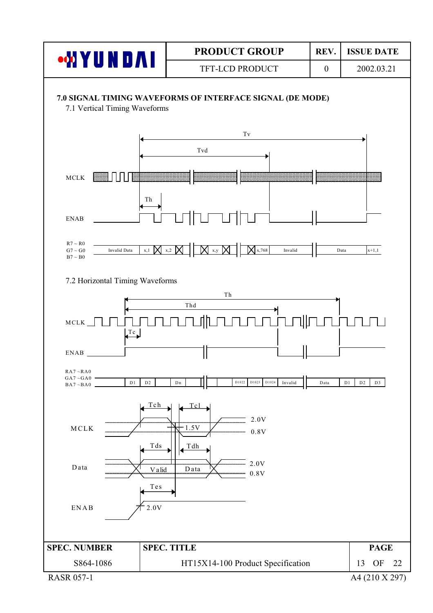

A4 (210 X 297)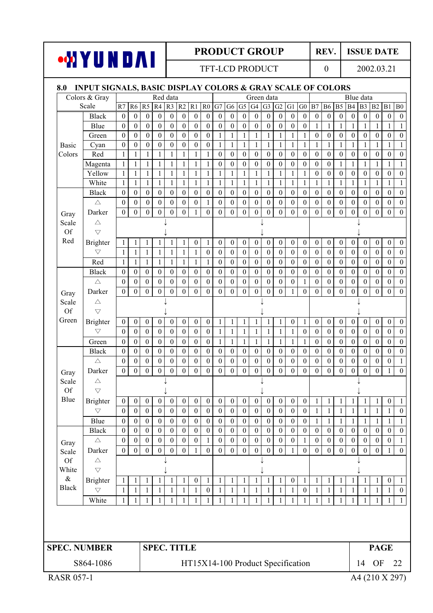**TFT-LCD PRODUCT** 

**WYUNDAI** 

REV. **ISSUE DATE** 

2002.03.21

 $\overline{0}$ 

#### 8.0 INPUT SIGNALS, BASIC DISPLAY COLORS & GRAY SCALE OF COLORS Colors & Gray Red data Green data Blue data Scale  $\overline{R7}$  $\overline{R6}$  $\overline{R5}$  $R4$  $R3$   $R2$  $R1$  $\overline{R0}$  $G7|G6$  $\overline{\text{G5}}$  $G4$   $G3$   $G2$  $\overline{G1}$  $\overline{G0}$  $\overline{B7}$  $B6$  $\overline{B5}$  $B4$  B<sub>3</sub> B<sub>2</sub>  $B1$  $\overline{B0}$ **Black**  $\boldsymbol{0}$  $\boldsymbol{0}$  $\boldsymbol{0}$  $\boldsymbol{0}$  $\boldsymbol{0}$  $\mathbf{0}$  $\boldsymbol{0}$  $\boldsymbol{0}$  $\boldsymbol{0}$  $\boldsymbol{0}$  $\mathbf{0}$  $\boldsymbol{0}$  $\boldsymbol{0}$  $\mathbf{0}$  $\boldsymbol{0}$  $\mathbf{0}$  $\mathbf{0}$  $\boldsymbol{0}$  $\boldsymbol{0}$  $\mathbf{0}$  $\boldsymbol{0}$  $\boldsymbol{0}$  $\boldsymbol{0}$  $\mathbf{0}$ Blue  $\mathbf{0}$  $\overline{0}$  $\mathbf{0}$  $\overline{0}$  $\mathbf{0}$  $\mathbf{0}$  $\mathbf{0}$  $\mathbf{0}$  $\mathbf{0}$  $\mathbf{0}$  $\mathbf{1}$  $\mathbf{1}$  $\mathbf{1}$  $\boldsymbol{0}$  $\boldsymbol{0}$  $\boldsymbol{0}$  $\boldsymbol{0}$  $\boldsymbol{0}$  $\boldsymbol{0}$  $\mathbf{1}$  $\mathbf{1}$  $\mathbf{1}$  $\mathbf{1}$  $\mathbf{1}$ Green  $\overline{0}$  $\overline{0}$  $\overline{0}$  $\boldsymbol{0}$  $\boldsymbol{0}$  $\overline{0}$  $\overline{0}$  $\mathbf{0}$  $\mathbf{0}$  $\overline{0}$  $\mathbf{0}$  $\overline{0}$  $\mathbf{1}$  $\mathbf{1}$  $\mathbf{1}$  $\mathbf{1}$ 1  $\mathbf{1}$  $\mathbf{1}$  $\mathbf{1}$  $\mathbf{0}$  $\boldsymbol{0}$  $\boldsymbol{0}$  $\boldsymbol{0}$ Basic Cyan  $\mathbf{0}$  $\boldsymbol{0}$  $\boldsymbol{0}$  $\boldsymbol{0}$  $\boldsymbol{0}$  $\boldsymbol{0}$  $\boldsymbol{0}$  $\boldsymbol{0}$  $\mathbf{1}$  $\mathbf{1}$  $\mathbf{1}$  $\mathbf{1}$  $\mathbf{1}$  $\mathbf{1}$  $\mathbf{1}$  $\mathbf{1}$  $\mathbf{1}$  $\mathbf{1}$  $\mathbf{1}$  $\mathbf{1}$  $\mathbf{1}$  $\mathbf{1}$  $\mathbf{1}$  $\mathbf{1}$  $\overline{0}$  $\overline{0}$  $\overline{0}$  $\overline{0}$  $\overline{0}$ Colors Red  $\mathbf{1}$  $\mathbf{1}$  $\mathbf{1}$  $\mathbf{1}$  $\overline{1}$  $\overline{1}$  $\mathbf{1}$  $\mathbf{1}$  $\boldsymbol{0}$  $\mathbf{0}$  $\mathbf{0}$  $\boldsymbol{0}$  $\mathbf{0}$  $\boldsymbol{0}$  $\boldsymbol{0}$  $\boldsymbol{0}$  $\boldsymbol{0}$  $\mathbf{0}$  $\mathbf{0}$ Magenta  $\mathbf{1}$  $\mathbf{1}$  $\mathbf{1}$  $\overline{1}$  $\mathbf{1}$  $\mathbf{1}$  $\mathbf{1}$  $\mathbf{1}$  $\theta$  $\theta$  $\theta$  $\theta$  $\theta$  $\theta$  $\overline{0}$  $\theta$  $\theta$  $\theta$  $\mathbf{1}$  $\mathbf{1}$  $\mathbf{1}$  $\mathbf{1}$  $\mathbf{1}$  $\mathbf{1}$  $\mathbf{1}$  $\mathbf{1}$  $\theta$  $\theta$  $\theta$  $\Omega$  $\Omega$  $\theta$  $\theta$  $\theta$ Yellow  $\mathbf{1}$  $\mathbf{1}$  $\mathbf{1}$  $\mathbf{1}$  $\mathbf{1}$  $\mathbf{1}$  $\mathbf{1}$  $\mathbf{1}$  $\mathbf{1}$  $\mathbf{1}$  $\mathbf{1}$  $\mathbf{1}$  $\mathbf{1}$  $\mathbf{1}$ White  $\mathbf{1}$  $\mathbf{1}$  $\mathbf{1}$  $\mathbf{1}$  $\mathbf{1}$  $\mathbf{1}$  $\mathbf{1}$  $\mathbf{1}$  $\mathbf{1}$  $\,1\,$  $\mathbf{1}$  $\mathbf{1}$  $\mathbf{1}$  $\mathbf{1}$  $\mathbf{1}$  $\mathbf{1}$  $\mathbf{1}$  $\mathbf{1}$  $\mathbf{1}$  $\mathbf{1}$  $\mathbf{1}$  $\mathbf{1}$  $\mathbf{1}$  $\mathbf{1}$ Black  $\overline{0}$  $\overline{0}$  $\overline{0}$  $\overline{0}$  $\overline{0}$  $\theta$  $\boldsymbol{0}$  $\boldsymbol{0}$  $\boldsymbol{0}$  $\boldsymbol{0}$  $\mathbf{0}$  $\boldsymbol{0}$  $\theta$  $\boldsymbol{0}$  $\boldsymbol{0}$  $\mathbf{0}$  $\mathbf{0}$  $\theta$  $\boldsymbol{0}$  $\overline{0}$  $\boldsymbol{0}$  $\mathbf{0}$  $\boldsymbol{0}$  $\boldsymbol{0}$  $\theta$  $\overline{0}$  $\overline{0}$  $\overline{0}$  $\overline{0}$  $\mathbf{0}$  $\overline{0}$  $\mathbf{1}$  $\overline{0}$  $\mathbf{0}$  $\overline{0}$  $\theta$  $\overline{0}$  $\mathbf{0}$  $\overline{0}$  $\overline{0}$  $\mathbf{0}$  $\mathbf{0}$  $\mathbf{0}$  $\overline{0}$  $\mathbf{0}$  $\overline{0}$  $\overline{0}$  $\overline{0}$  $\wedge$  $\overline{0}$ Darker  $\boldsymbol{0}$  $\boldsymbol{0}$  $\boldsymbol{0}$  $\mathbf{0}$  $\boldsymbol{0}$  $\boldsymbol{0}$  $\mathbf{1}$  $\boldsymbol{0}$  $\boldsymbol{0}$  $\boldsymbol{0}$  $\mathbf{0}$  $\mathbf{0}$  $\boldsymbol{0}$  $\mathbf{0}$  $\boldsymbol{0}$  $\boldsymbol{0}$  $\boldsymbol{0}$  $\mathbf{0}$  $\boldsymbol{0}$  $\mathbf{0}$  $\boldsymbol{0}$  $\boldsymbol{0}$  $\boldsymbol{0}$ Grav  $\triangle$ Scale  $Of$  $\overline{\vee}$ Red  $\overline{0}$ **Brighter**  $\mathbf{1}$  $\mathbf{1}$  $\mathbf{1}$  $\mathbf{1}$  $\mathbf{1}$  $\mathbf{1}$  $\overline{0}$  $\mathbf{1}$  $\mathbf{0}$  $\mathbf{0}$  $\boldsymbol{0}$  $\mathbf{0}$  $\mathbf{0}$  $\mathbf{0}$  $\mathbf{0}$  $\mathbf{0}$  $\mathbf{0}$  $\mathbf{0}$  $\overline{0}$  $\boldsymbol{0}$  $\boldsymbol{0}$  $\mathbf{0}$  $\mathbf{0}$  $\bigtriangledown$  $\overline{0}$  $\overline{0}$  $\overline{0}$  $\overline{0}$  $\overline{0}$  $\overline{0}$  $\overline{0}$  $\overline{0}$  $\mathbf{1}$  $\mathbf{1}$  $\mathbf{1}$  $\mathbf{1}$  $\overline{1}$  $\overline{1}$  $\mathbf{1}$  $\theta$  $\theta$  $\theta$  $\theta$  $\theta$  $\overline{0}$  $\theta$  $\theta$  $\theta$ Red  $\mathbf{1}$  $\mathbf{1}$  $\mathbf{1}$  $\mathbf{1}$  $\mathbf{1}$  $\mathbf{1}$  $\mathbf{1}$  $\boldsymbol{0}$  $\boldsymbol{0}$  $\theta$  $\theta$  $\boldsymbol{0}$  $\theta$  $\boldsymbol{0}$  $\theta$  $\theta$  $\boldsymbol{0}$  $\boldsymbol{0}$  $\overline{0}$  $\boldsymbol{0}$  $\boldsymbol{0}$  $\boldsymbol{0}$  $\boldsymbol{0}$  $\mathbf{1}$ **Black**  $\boldsymbol{0}$  $\boldsymbol{0}$  $\boldsymbol{0}$  $\boldsymbol{0}$  $\boldsymbol{0}$  $\boldsymbol{0}$  $\boldsymbol{0}$  $\boldsymbol{0}$  $\boldsymbol{0}$  $\boldsymbol{0}$  $\boldsymbol{0}$  $\boldsymbol{0}$  $\boldsymbol{0}$  $\boldsymbol{0}$  $\boldsymbol{0}$  $\boldsymbol{0}$  $\boldsymbol{0}$  $\boldsymbol{0}$  $\boldsymbol{0}$  $\mathbf{0}$  $\boldsymbol{0}$  $\boldsymbol{0}$  $\boldsymbol{0}$  $\boldsymbol{0}$  $\triangle$  $\boldsymbol{0}$  $\boldsymbol{0}$  $\boldsymbol{0}$  $\boldsymbol{0}$  $\boldsymbol{0}$  $\boldsymbol{0}$  $\boldsymbol{0}$  $\boldsymbol{0}$  $\boldsymbol{0}$  $\boldsymbol{0}$  $\boldsymbol{0}$  $\boldsymbol{0}$  $\boldsymbol{0}$  $\boldsymbol{0}$  $\,1\,$  $\boldsymbol{0}$  $\boldsymbol{0}$  $\boldsymbol{0}$  $\boldsymbol{0}$  $\boldsymbol{0}$  $\boldsymbol{0}$  $\boldsymbol{0}$  $\boldsymbol{0}$  $\boldsymbol{0}$  $\overline{0}$  $\overline{0}$  $\overline{0}$  $\overline{0}$  $\overline{0}$  $\overline{0}$  $\overline{0}$  $\overline{0}$  $\overline{0}$  $\overline{0}$  $\overline{1}$  $\overline{0}$  $\overline{0}$  $\overline{0}$  $\overline{0}$  $\overline{0}$  $\overline{0}$ Darker  $\theta$  $\theta$  $\overline{0}$  $\theta$  $\theta$  $\theta$  $\theta$ Gray  $\triangle$ Scale J J  $Of$  $\overline{\smile}$  $\overline{\phantom{a}}$  $\overline{\phantom{a}}$ Green **Brighter**  $\boldsymbol{0}$  $\boldsymbol{0}$  $\boldsymbol{0}$  $\boldsymbol{0}$  $\boldsymbol{0}$  $\boldsymbol{0}$  $\boldsymbol{0}$  $\boldsymbol{0}$  $\,1\,$  $\mathbf{1}$  $\mathbf{1}$  $\mathbf{1}$  $\boldsymbol{0}$  $\mathbf{1}$  $\boldsymbol{0}$  $\boldsymbol{0}$  $\boldsymbol{0}$  $\boldsymbol{0}$  $\boldsymbol{0}$  $\boldsymbol{0}$  $\boldsymbol{0}$  $\boldsymbol{0}$  $\mathbf{1}$  $\mathbf{1}$  $\overline{\nabla}$  $\theta$  $\theta$  $\theta$  $\theta$  $\theta$  $\theta$  $\theta$  $\theta$  $\mathbf{1}$  $\mathbf{1}$  $\mathbf{1}$  $\mathbf{1}$  $\mathbf{1}$  $\mathbf{1}$  $\theta$  $\theta$  $\theta$  $\theta$  $\overline{0}$  $\theta$  $\theta$  $\theta$  $\mathbf{1}$  $\Omega$ Green  $\theta$  $\theta$  $\Omega$  $\theta$  $\theta$  $\theta$  $\theta$  $\mathbf{1}$  $\mathbf{1}$  $\theta$  $\theta$  $\mathbf{0}$  $\overline{0}$  $\mathbf{0}$  $\theta$  $\theta$  $\theta$  $\theta$  $\mathbf{1}$  $\mathbf{1}$  $\mathbf{1}$  $\mathbf{1}$  $\mathbf{1}$  $\mathbf{1}$ **Black**  $\theta$  $\boldsymbol{0}$  $\boldsymbol{0}$  $\boldsymbol{0}$  $\boldsymbol{0}$  $\boldsymbol{0}$  $\boldsymbol{0}$  $\boldsymbol{0}$  $\boldsymbol{0}$  $\boldsymbol{0}$  $\boldsymbol{0}$  $\boldsymbol{0}$  $\boldsymbol{0}$  $\boldsymbol{0}$  $\boldsymbol{0}$  $\boldsymbol{0}$  $\boldsymbol{0}$  $\boldsymbol{0}$  $\boldsymbol{0}$  $\boldsymbol{0}$  $\boldsymbol{0}$  $\boldsymbol{0}$  $\boldsymbol{0}$  $\boldsymbol{0}$  $\mathbf{0}$  $\mathbf{0}$  $\overline{0}$  $\mathbf{0}$  $\mathbf{0}$  $\mathbf{0}$  $\mathbf{0}$  $\mathbf{0}$  $\mathbf{0}$  $\mathbf{0}$  $\mathbf{0}$  $\mathbf{0}$  $\wedge$  $\boldsymbol{0}$  $\boldsymbol{0}$  $\boldsymbol{0}$  $\boldsymbol{0}$  $\mathbf{0}$  $\boldsymbol{0}$  $\boldsymbol{0}$  $\boldsymbol{0}$  $\boldsymbol{0}$  $\boldsymbol{0}$  $\boldsymbol{0}$  $\mathbf{1}$  $\overline{0}$  $\overline{0}$  $\overline{0}$  $\overline{0}$  $\overline{0}$  $\overline{0}$  $\overline{0}$  $\overline{0}$  $\overline{0}$  $\overline{0}$  $\overline{0}$  $\overline{0}$  $\overline{0}$  $\overline{0}$  $\overline{0}$  $\overline{0}$  $\overline{0}$  $\overline{0}$  $\overline{0}$  $\overline{0}$  $\overline{0}$  $\overline{0}$ Darker  $\mathbf{0}$  $\mathbf{1}$ Gray  $\triangle$  $\downarrow$  $\overline{\phantom{a}}$ Scale J  $Of$  $\overline{\phantom{0}}$  $\overline{\phantom{a}}$  $\overline{\phantom{a}}$ Blue **Brighter**  $\overline{0}$  $\overline{0}$  $\overline{0}$  $\mathbf{0}$  $\overline{0}$  $\mathbf{0}$  $\mathbf{0}$  $\overline{0}$  $\mathbf{0}$  $\overline{0}$  $\mathbf{0}$  $\mathbf{0}$  $\overline{0}$  $\mathbf{0}$  $\boldsymbol{0}$  $\mathbf{0}$  $\mathbf{1}$  $\mathbf{1}$  $\mathbf{1}$  $\mathbf{1}$  $\mathbf{1}$  $\mathbf{1}$  $\mathbf{0}$  $\mathbf{1}$  $\mathbf{0}$  $\overline{0}$  $\overline{0}$  $\mathbf{1}$  $\mathbf{1}$  $\mathbf{1}$  $\mathbf{1}$  $\bigtriangledown$  $\mathbf{0}$  $\overline{0}$  $\overline{0}$  $\overline{0}$  $\overline{0}$  $\overline{0}$  $\mathbf{0}$  $\mathbf{0}$  $\overline{0}$  $\mathbf{0}$  $\mathbf{0}$  $\overline{0}$  $\overline{0}$  $\mathbf{1}$  $\mathbf{1}$  $\mathbf{1}$  $\overline{0}$ Blue  $\mathbf{0}$  $\overline{0}$  $\overline{0}$  $\overline{0}$  $\overline{0}$  $\overline{0}$  $\overline{0}$  $\overline{0}$  $\overline{0}$  $\mathbf{0}$  $\mathbf{0}$  $\overline{0}$  $\overline{0}$  $\mathbf{1}$  $\mathbf{1}$  $\mathbf{1}$  $\mathbf{1}$  $\mathbf{1}$  $\mathbf{1}$  $\mathbf{1}$  $\mathbf{0}$  $\mathbf{0}$  $\mathbf{0}$  $\mathbf{1}$ **Black**  $\mathbf{0}$  $\overline{0}$  $\boldsymbol{0}$  $\boldsymbol{0}$  $\boldsymbol{0}$  $\mathbf{0}$  $\boldsymbol{0}$  $\boldsymbol{0}$  $\boldsymbol{0}$  $\mathbf{0}$  $\mathbf{0}$  $\mathbf{0}$  $\mathbf{0}$  $\boldsymbol{0}$  $\boldsymbol{0}$  $\mathbf{0}$  $\mathbf{0}$  $\mathbf{0}$  $\mathbf{0}$  $\mathbf{0}$  $\mathbf{0}$  $\mathbf{0}$  $\mathbf{0}$  $\boldsymbol{0}$  $\overline{0}$  $\overline{0}$  $\boldsymbol{0}$  $\overline{0}$  $\boldsymbol{0}$  $\mathbf{1}$  $\wedge$  $\mathbf{0}$  $\overline{0}$  $\overline{0}$  $\overline{0}$  $\,1\,$  $\overline{0}$  $\overline{0}$  $\overline{0}$  $\mathbf{0}$  $\mathbf{0}$  $\boldsymbol{0}$  $\mathbf{1}$  $\overline{0}$  $\boldsymbol{0}$  $\boldsymbol{0}$  $\mathbf{0}$  $\overline{0}$  $\overline{0}$ Gray Darker  $\boldsymbol{0}$  $\overline{0}$  $\overline{0}$  $\overline{0}$  $\overline{0}$  $\overline{0}$  $\mathbf{1}$  $\overline{0}$  $\overline{0}$  $\overline{0}$  $\overline{0}$  $\overline{0}$  $\overline{0}$  $\overline{0}$  $\overline{1}$  $\overline{0}$  $\overline{0}$  $\overline{0}$  $\overline{0}$  $\overline{0}$  $\overline{0}$  $\overline{0}$  $\overline{1}$  $\overline{0}$ Scale  $\triangle$  $\Omega$ f J J White  $\overline{\nabla}$  $\&$ **Brighter**  $\mathbf{1}$  $\mathbf{1}$  $\mathbf{1}$  $\mathbf{1}$  $\mathbf{1}$  $\mathbf{1}$  $\boldsymbol{0}$  $\mathbf{1}$  $\mathbf{1}$  $\mathbf{1}$  $\mathbf{1}$  $\mathbf{1}$  $\mathbf{1}$  $\mathbf{1}$  $\boldsymbol{0}$  $\mathbf{1}$  $\mathbf{1}$  $\mathbf{1}$  $\mathbf{1}$  $\mathbf{1}$  $\mathbf{1}$  $\mathbf{1}$  $\boldsymbol{0}$  $\mathbf{1}$ Black  $\overline{\nabla}$  $\mathbf{1}$  $\mathbf{1}$  $\mathbf{1}$  $\mathbf{1}$  $\mathbf{1}$  $\mathbf{1}$  $\mathbf{1}$  $\mathbf{0}$  $\mathbf{1}$  $\mathbf{1}$  $\mathbf{1}$  $\mathbf{1}$  $\mathbf{1}$  $\mathbf{1}$  $\mathbf{1}$  $\mathbf{0}$  $\mathbf{1}$  $\mathbf{1}$  $\mathbf{1}$  $\mathbf{1}$  $\mathbf{1}$  $\mathbf{1}$  $\mathbf{1}$  $\mathbf{0}$  $\mathbf{1}$  $\mathbf{1}$  $\mathbf{1}$  $\mathbf{1}$  $\mathbf{1}$ White  $\mathbf{1}$  $\mathbf{1}$  $\mathbf{1}$  $\mathbf{1}$  $\mathbf{1}$  $\mathbf{1}$  $\mathbf{1}$  $\mathbf{1}$  $\mathbf{1}$  $\mathbf{1}$  $\mathbf{1}$  $\mathbf{1}$  $\mathbf{1}$  $\mathbf{1}$  $\mathbf{1}$  $\mathbf{1}$  $\mathbf{1}$  $\mathbf{1}$  $\mathbf{1}$ **SPEC. TITLE SPEC. NUMBER PAGE** HT15X14-100 Product Specification 14 OF S864-1086 22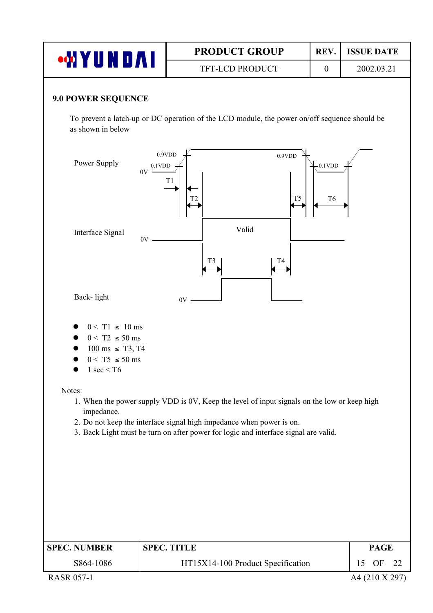| <b>WYUNDAI</b>                                                                                                           |                                                 | <b>PRODUCT GROUP</b><br>REV.                                                                                                                                                                                                                               |                              | <b>ISSUE DATE</b>             |
|--------------------------------------------------------------------------------------------------------------------------|-------------------------------------------------|------------------------------------------------------------------------------------------------------------------------------------------------------------------------------------------------------------------------------------------------------------|------------------------------|-------------------------------|
|                                                                                                                          |                                                 | TFT-LCD PRODUCT                                                                                                                                                                                                                                            | $\boldsymbol{0}$             | 2002.03.21                    |
| 9.0 POWER SEQUENCE<br>as shown in below                                                                                  |                                                 | To prevent a latch-up or DC operation of the LCD module, the power on/off sequence should be                                                                                                                                                               |                              |                               |
| Power Supply                                                                                                             | 0.9VDD<br>$0.1$ VDD<br>$0V -$<br>T <sub>1</sub> | 0.9VDD<br>T <sub>5</sub><br>T2                                                                                                                                                                                                                             | $-0.1$ VDD<br>T <sub>6</sub> |                               |
| Interface Signal                                                                                                         | 0V                                              | Valid<br>T <sub>3</sub><br>T4                                                                                                                                                                                                                              |                              |                               |
| Back-light                                                                                                               |                                                 | 0V                                                                                                                                                                                                                                                         |                              |                               |
| $0 < T1 \le 10$ ms<br>$0 < T2 \le 50$ ms<br>$100 \text{ ms } \leq T3, T4$<br>$0 < T5 \leq 50$ ms<br>$1 \text{ sec} < 76$ |                                                 |                                                                                                                                                                                                                                                            |                              |                               |
| Notes:<br>impedance.                                                                                                     |                                                 | 1. When the power supply VDD is 0V, Keep the level of input signals on the low or keep high<br>2. Do not keep the interface signal high impedance when power is on.<br>3. Back Light must be turn on after power for logic and interface signal are valid. |                              |                               |
| <b>SPEC. NUMBER</b><br>S864-1086                                                                                         | <b>SPEC. TITLE</b>                              | HT15X14-100 Product Specification                                                                                                                                                                                                                          |                              | <b>PAGE</b><br>15<br>OF<br>22 |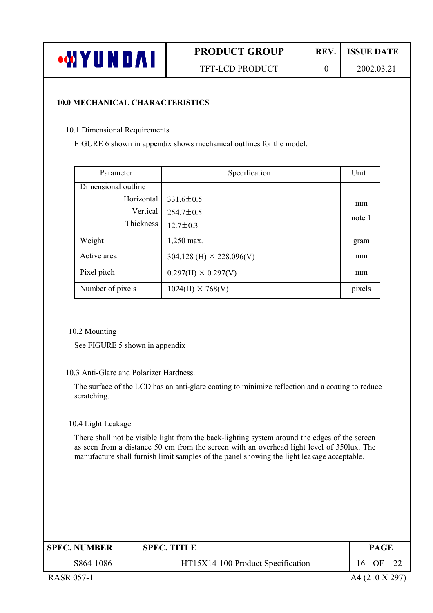| $\cdot$ on $\mathbf{Y}'$<br>Ш<br>IN DAI | <b>PRODUCT GROUP</b>   | REV. | <b>ISSUE DATE</b> |
|-----------------------------------------|------------------------|------|-------------------|
|                                         | <b>TFT-LCD PRODUCT</b> |      | 2002.03.21        |

#### **10.0 MECHANICAL CHARACTERISTICS**

10.1 Dimensional Requirements

FIGURE 6 shown in appendix shows mechanical outlines for the model.

| Parameter           | Specification                     | Unit   |
|---------------------|-----------------------------------|--------|
| Dimensional outline |                                   |        |
| Horizontal          | $331.6 \pm 0.5$                   | mm     |
| Vertical            | $254.7 \pm 0.5$                   | note 1 |
| Thickness           | $12.7 \pm 0.3$                    |        |
| Weight              | 1,250 max.                        | gram   |
| Active area         | $304.128$ (H) $\times$ 228.096(V) | mm     |
| Pixel pitch         | $0.297(H) \times 0.297(V)$        | mm     |
| Number of pixels    | $1024(H) \times 768(V)$           | pixels |

10.2 Mounting

See FIGURE 5 shown in appendix

#### 10.3 Anti-Glare and Polarizer Hardness.

The surface of the LCD has an anti-glare coating to minimize reflection and a coating to reduce scratching.

10.4 Light Leakage

There shall not be visible light from the back-lighting system around the edges of the screen as seen from a distance 50 cm from the screen with an overhead light level of 350lux. The manufacture shall furnish limit samples of the panel showing the light leakage acceptable.

| <b>SPEC. NUMBER</b><br><b>SPEC. TITLE</b> |                                   | <b>PAGE</b> |    |  |
|-------------------------------------------|-----------------------------------|-------------|----|--|
| S864-1086                                 | HT15X14-100 Product Specification | 16          | OF |  |
|                                           |                                   |             |    |  |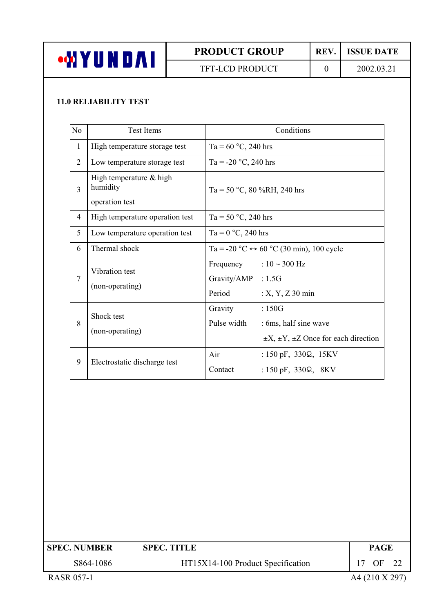

TFT-LCD PRODUCT

#### REV. **ISSUE DATE**

 $\overline{0}$ 

### **11.0 RELIABILITY TEST**

| N <sub>o</sub> | <b>Test Items</b>                                     | Conditions                                                                                                             |                                                     |
|----------------|-------------------------------------------------------|------------------------------------------------------------------------------------------------------------------------|-----------------------------------------------------|
| $\mathbf{1}$   | High temperature storage test                         | Ta = $60 °C$ , 240 hrs                                                                                                 |                                                     |
| $\overline{2}$ | Low temperature storage test                          | Ta = -20 °C, 240 hrs                                                                                                   |                                                     |
| 3              | High temperature & high<br>humidity<br>operation test | Ta = 50 °C, 80 %RH, 240 hrs                                                                                            |                                                     |
| $\overline{4}$ | High temperature operation test                       | Ta = $50 °C$ , 240 hrs                                                                                                 |                                                     |
| 5              | Low temperature operation test                        | Ta = $0^{\circ}$ C, 240 hrs                                                                                            |                                                     |
| 6              | Thermal shock                                         | Ta = -20 °C $\leftrightarrow$ 60 °C (30 min), 100 cycle                                                                |                                                     |
| 7              | Vibration test<br>(non-operating)                     | Frequency : $10 \sim 300$ Hz<br>Gravity/AMP : 1.5G<br>Period<br>$: X, Y, Z$ 30 min                                     |                                                     |
| 8              | Shock test<br>(non-operating)                         | Gravity<br>:150G<br>Pulse width<br>: 6ms, half sine wave                                                               | $\pm X$ , $\pm Y$ , $\pm Z$ Once for each direction |
| 9              | Electrostatic discharge test                          | : $150 \text{ pF}$ , $330\Omega$ , $15 \text{KV}$<br>Air<br>Contact<br>: $150 \text{ pF}$ , $330\Omega$ , $8\text{KV}$ |                                                     |

| <b>SPEC. NUMBER</b> | <b>SPEC. TITLE</b>                | <b>PAGE</b> |  |  |  |
|---------------------|-----------------------------------|-------------|--|--|--|
| S864-1086           | HT15X14-100 Product Specification | OF          |  |  |  |
| _ . _ _ . _ _ .     | . <i>. .</i> _ _ .                |             |  |  |  |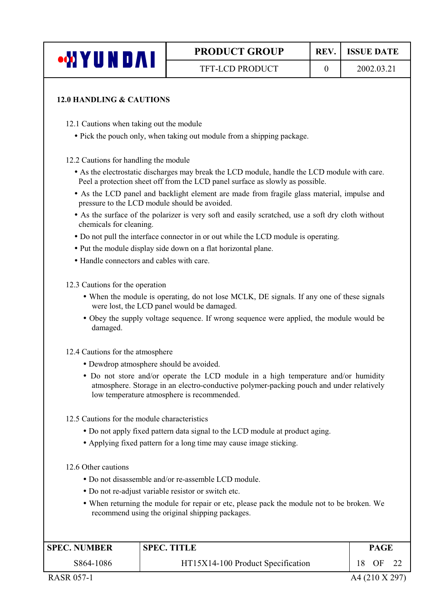| <b>WYUNDAI</b> |  |  |
|----------------|--|--|
|                |  |  |

**TFT-LCD PRODUCT** 

 $\overline{0}$ 

#### **12.0 HANDLING & CAUTIONS**

12.1 Cautions when taking out the module

• Pick the pouch only, when taking out module from a shipping package.

12.2 Cautions for handling the module

- As the electrostatic discharges may break the LCD module, handle the LCD module with care. Peel a protection sheet off from the LCD panel surface as slowly as possible.
- As the LCD panel and backlight element are made from fragile glass material, impulse and pressure to the LCD module should be avoided.
- As the surface of the polarizer is very soft and easily scratched, use a soft dry cloth without chemicals for cleaning.
- Do not pull the interface connector in or out while the LCD module is operating.
- Put the module display side down on a flat horizontal plane.
- Handle connectors and cables with care

12.3 Cautions for the operation

- When the module is operating, do not lose MCLK, DE signals. If any one of these signals were lost, the LCD panel would be damaged.
- Obey the supply voltage sequence. If wrong sequence were applied, the module would be damaged.

12.4 Cautions for the atmosphere

- Dewdrop atmosphere should be avoided.
- Do not store and/or operate the LCD module in a high temperature and/or humidity atmosphere. Storage in an electro-conductive polymer-packing pouch and under relatively low temperature atmosphere is recommended.
- 12.5 Cautions for the module characteristics
	- Do not apply fixed pattern data signal to the LCD module at product aging.
	- Applying fixed pattern for a long time may cause image sticking.

12.6 Other cautions

- Do not disassemble and/or re-assemble LCD module.
- Do not re-adjust variable resistor or switch etc.
- When returning the module for repair or etc, please pack the module not to be broken. We recommend using the original shipping packages.

| <b>SPEC. NUMBER</b><br><b>SPEC. TITLE</b> |                                   | <b>PAGE</b> |    |  |
|-------------------------------------------|-----------------------------------|-------------|----|--|
| S864-1086                                 | HT15X14-100 Product Specification | 18          | OF |  |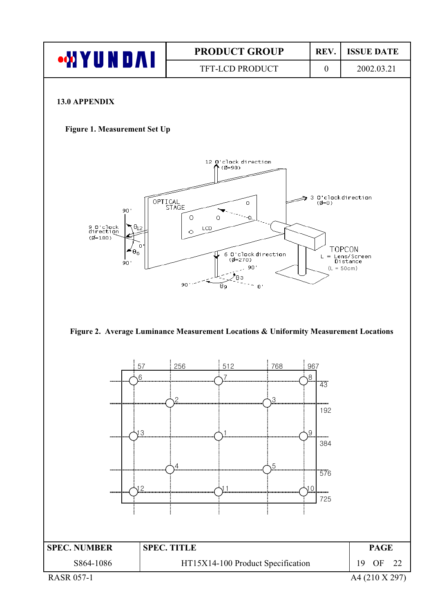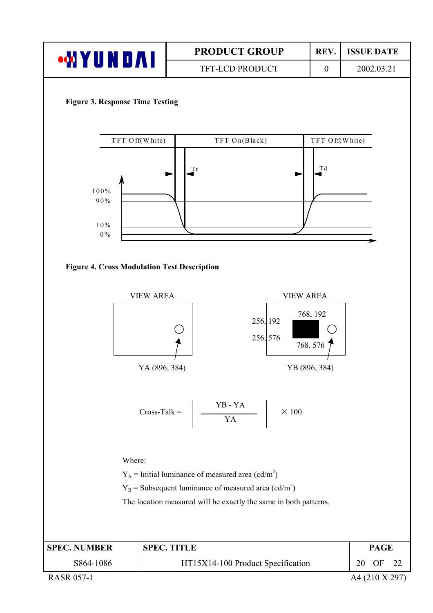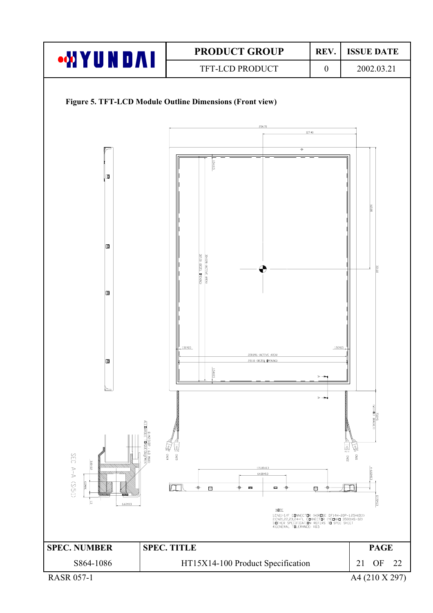

A4 (210 X 297)